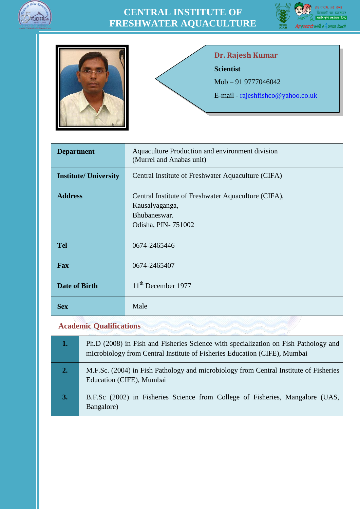





#### **Dr. Rajesh Kumar**

**Scientist**

Mob – 91 9777046042

E-mail - [rajeshfishco@yahoo.co.uk](mailto:rajeshfishco@yahoo.co.uk)

| <b>Department</b>              | Aquaculture Production and environment division<br>(Murrel and Anabas unit)                                 |
|--------------------------------|-------------------------------------------------------------------------------------------------------------|
| <b>Institute/ University</b>   | Central Institute of Freshwater Aquaculture (CIFA)                                                          |
| <b>Address</b>                 | Central Institute of Freshwater Aquaculture (CIFA),<br>Kausalyaganga,<br>Bhubaneswar.<br>Odisha, PIN-751002 |
| <b>Tel</b>                     | 0674-2465446                                                                                                |
| Fax                            | 0674-2465407                                                                                                |
| <b>Date of Birth</b>           | $11th$ December 1977                                                                                        |
| <b>Sex</b>                     | Male                                                                                                        |
| <b>Academic Qualifications</b> |                                                                                                             |

| 1. | Ph.D (2008) in Fish and Fisheries Science with specialization on Fish Pathology and<br>microbiology from Central Institute of Fisheries Education (CIFE), Mumbai |
|----|------------------------------------------------------------------------------------------------------------------------------------------------------------------|
| 2. | M.F.Sc. (2004) in Fish Pathology and microbiology from Central Institute of Fisheries<br>Education (CIFE), Mumbai                                                |
| 3. | B.F.Sc (2002) in Fisheries Science from College of Fisheries, Mangalore (UAS,<br>Bangalore)                                                                      |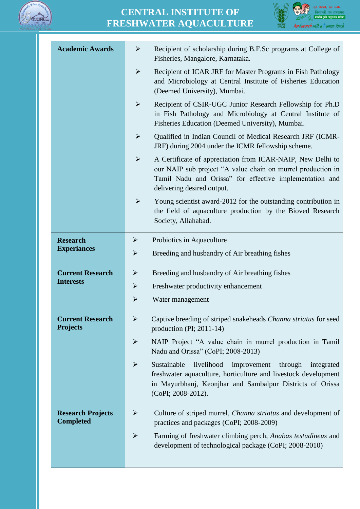



| <b>Academic Awards</b>                       | Recipient of scholarship during B.F.Sc programs at College of<br>➤<br>Fisheries, Mangalore, Karnataka.                                                                                                                                          |
|----------------------------------------------|-------------------------------------------------------------------------------------------------------------------------------------------------------------------------------------------------------------------------------------------------|
|                                              | $\blacktriangleright$<br>Recipient of ICAR JRF for Master Programs in Fish Pathology<br>and Microbiology at Central Institute of Fisheries Education<br>(Deemed University), Mumbai.                                                            |
|                                              | Recipient of CSIR-UGC Junior Research Fellowship for Ph.D<br>$\blacktriangleright$<br>in Fish Pathology and Microbiology at Central Institute of<br>Fisheries Education (Deemed University), Mumbai.                                            |
|                                              | Qualified in Indian Council of Medical Research JRF (ICMR-<br>$\blacktriangleright$<br>JRF) during 2004 under the ICMR fellowship scheme.                                                                                                       |
|                                              | $\blacktriangleright$<br>A Certificate of appreciation from ICAR-NAIP, New Delhi to<br>our NAIP sub project "A value chain on murrel production in<br>Tamil Nadu and Orissa" for effective implementation and<br>delivering desired output.     |
|                                              | $\blacktriangleright$<br>Young scientist award-2012 for the outstanding contribution in<br>the field of aquaculture production by the Bioved Research<br>Society, Allahabad.                                                                    |
| <b>Research</b>                              | Probiotics in Aquaculture<br>➤                                                                                                                                                                                                                  |
| <b>Experiances</b>                           | $\blacktriangleright$<br>Breeding and husbandry of Air breathing fishes                                                                                                                                                                         |
| <b>Current Research</b>                      | Breeding and husbandry of Air breathing fishes<br>➤                                                                                                                                                                                             |
| <b>Interests</b>                             | $\blacktriangleright$<br>Freshwater productivity enhancement                                                                                                                                                                                    |
|                                              | $\blacktriangleright$<br>Water management                                                                                                                                                                                                       |
| <b>Current Research</b><br><b>Projects</b>   | $\blacktriangleright$<br>Captive breeding of striped snakeheads Channa striatus for seed<br>production (PI; $2011-14$ )                                                                                                                         |
|                                              | $\blacktriangleright$<br>NAIP Project "A value chain in murrel production in Tamil<br>Nadu and Orissa" (CoPI; 2008-2013)                                                                                                                        |
|                                              | livelihood<br>$\blacktriangleright$<br>Sustainable<br>improvement<br>through<br>integrated<br>freshwater aquaculture, horticulture and livestock development<br>in Mayurbhanj, Keonjhar and Sambalpur Districts of Orissa<br>(CoPI; 2008-2012). |
| <b>Research Projects</b><br><b>Completed</b> | $\blacktriangleright$<br>Culture of striped murrel, <i>Channa striatus</i> and development of<br>practices and packages (CoPI; 2008-2009)                                                                                                       |
|                                              | $\blacktriangleright$<br>Farming of freshwater climbing perch, Anabas testudineus and<br>development of technological package (CoPI; 2008-2010)                                                                                                 |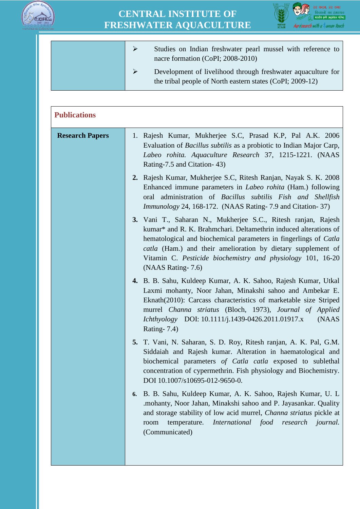



|  | Studies on Indian freshwater pearl mussel with reference to<br>nacre formation (CoPI; 2008-2010)                          |
|--|---------------------------------------------------------------------------------------------------------------------------|
|  | Development of livelihood through freshwater aquaculture for<br>the tribal people of North eastern states (CoPI; 2009-12) |

| <b>Publications</b>    |                                                                                                                                                                                                                                                                                                                                                           |
|------------------------|-----------------------------------------------------------------------------------------------------------------------------------------------------------------------------------------------------------------------------------------------------------------------------------------------------------------------------------------------------------|
| <b>Research Papers</b> | 1. Rajesh Kumar, Mukherjee S.C, Prasad K.P, Pal A.K. 2006<br>Evaluation of Bacillus subtilis as a probiotic to Indian Major Carp,<br>Labeo rohita. Aquaculture Research 37, 1215-1221. (NAAS<br>Rating-7.5 and Citation-43)                                                                                                                               |
|                        | 2. Rajesh Kumar, Mukherjee S.C, Ritesh Ranjan, Nayak S. K. 2008<br>Enhanced immune parameters in <i>Labeo rohita</i> (Ham.) following<br>oral administration of Bacillus subtilis Fish and Shellfish<br><i>Immunology</i> 24, 168-172. (NAAS Rating-7.9 and Citation-37)                                                                                  |
|                        | 3. Vani T., Saharan N., Mukherjee S.C., Ritesh ranjan, Rajesh<br>kumar* and R. K. Brahmchari. Deltamethrin induced alterations of<br>hematological and biochemical parameters in fingerlings of Catla<br>catla (Ham.) and their amelioration by dietary supplement of<br>Vitamin C. Pesticide biochemistry and physiology 101, 16-20<br>(NAAS Rating-7.6) |
|                        | 4. B. B. Sahu, Kuldeep Kumar, A. K. Sahoo, Rajesh Kumar, Utkal<br>Laxmi mohanty, Noor Jahan, Minakshi sahoo and Ambekar E.<br>Eknath(2010): Carcass characteristics of marketable size Striped<br>murrel Channa striatus (Bloch, 1973), Journal of Applied<br>Ichthyology DOI: 10.1111/j.1439-0426.2011.01917.x<br>(NAAS<br><b>Rating-7.4)</b>            |
|                        | 5. T. Vani, N. Saharan, S. D. Roy, Ritesh ranjan, A. K. Pal, G.M.<br>Siddaiah and Rajesh kumar. Alteration in haematological and<br>biochemical parameters of Catla catla exposed to sublethal<br>concentration of cypermethrin. Fish physiology and Biochemistry.<br>DOI 10.1007/s10695-012-9650-0.                                                      |
|                        | B. B. Sahu, Kuldeep Kumar, A. K. Sahoo, Rajesh Kumar, U. L.<br>6.<br>.mohanty, Noor Jahan, Minakshi sahoo and P. Jayasankar. Quality<br>and storage stability of low acid murrel, Channa striatus pickle at<br><i>International</i><br>temperature.<br>food<br>research<br><i>journal.</i><br>room<br>(Communicated)                                      |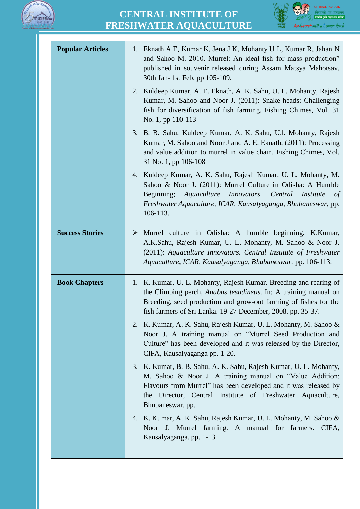



| <b>Popular Articles</b> | 1. Eknath A E, Kumar K, Jena J K, Mohanty U L, Kumar R, Jahan N<br>and Sahoo M. 2010. Murrel: An ideal fish for mass production"<br>published in souvenir released during Assam Matsya Mahotsav,<br>30th Jan- 1st Feb, pp 105-109.                                                 |
|-------------------------|------------------------------------------------------------------------------------------------------------------------------------------------------------------------------------------------------------------------------------------------------------------------------------|
|                         | Kuldeep Kumar, A. E. Eknath, A. K. Sahu, U. L. Mohanty, Rajesh<br>2.<br>Kumar, M. Sahoo and Noor J. (2011): Snake heads: Challenging<br>fish for diversification of fish farming. Fishing Chimes, Vol. 31<br>No. 1, pp 110-113                                                     |
|                         | 3. B. B. Sahu, Kuldeep Kumar, A. K. Sahu, U.l. Mohanty, Rajesh<br>Kumar, M. Sahoo and Noor J and A. E. Eknath, (2011): Processing<br>and value addition to murrel in value chain. Fishing Chimes, Vol.<br>31 No. 1, pp 106-108                                                     |
|                         | 4. Kuldeep Kumar, A. K. Sahu, Rajesh Kumar, U. L. Mohanty, M.<br>Sahoo & Noor J. (2011): Murrel Culture in Odisha: A Humble<br>Beginning; Aquaculture Innovators. Central<br><i>Institute</i><br>of<br>Freshwater Aquaculture, ICAR, Kausalyaganga, Bhubaneswar, pp.<br>106-113.   |
| <b>Success Stories</b>  | $\triangleright$ Murrel culture in Odisha: A humble beginning. K.Kumar,<br>A.K.Sahu, Rajesh Kumar, U. L. Mohanty, M. Sahoo & Noor J.<br>(2011): Aquaculture Innovators. Central Institute of Freshwater<br>Aquaculture, ICAR, Kausalyaganga, Bhubaneswar. pp. 106-113.             |
| <b>Book Chapters</b>    | 1. K. Kumar, U. L. Mohanty, Rajesh Kumar. Breeding and rearing of<br>the Climbing perch, <i>Anabas tesudineus</i> . In: A training manual on<br>Breeding, seed production and grow-out farming of fishes for the<br>fish farmers of Sri Lanka. 19-27 December, 2008. pp. 35-37.    |
|                         | 2. K. Kumar, A. K. Sahu, Rajesh Kumar, U. L. Mohanty, M. Sahoo &<br>Noor J. A training manual on "Murrel Seed Production and<br>Culture" has been developed and it was released by the Director,<br>CIFA, Kausalyaganga pp. 1-20.                                                  |
|                         | 3. K. Kumar, B. B. Sahu, A. K. Sahu, Rajesh Kumar, U. L. Mohanty,<br>M. Sahoo & Noor J. A training manual on "Value Addition:<br>Flavours from Murrel" has been developed and it was released by<br>the Director, Central Institute of Freshwater Aquaculture,<br>Bhubaneswar. pp. |
|                         | 4. K. Kumar, A. K. Sahu, Rajesh Kumar, U. L. Mohanty, M. Sahoo &<br>Noor J. Murrel farming. A manual for farmers.<br>CIFA,<br>Kausalyaganga. pp. 1-13                                                                                                                              |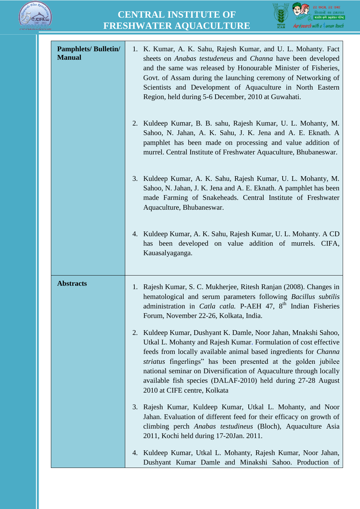



| <b>Pamphlets/Bulletin/</b><br><b>Manual</b> | 1. K. Kumar, A. K. Sahu, Rajesh Kumar, and U. L. Mohanty. Fact<br>sheets on Anabas testudeneus and Channa have been developed<br>and the same was released by Honourable Minister of Fisheries,<br>Govt. of Assam during the launching ceremony of Networking of<br>Scientists and Development of Aquaculture in North Eastern<br>Region, held during 5-6 December, 2010 at Guwahati.                                                                     |
|---------------------------------------------|-----------------------------------------------------------------------------------------------------------------------------------------------------------------------------------------------------------------------------------------------------------------------------------------------------------------------------------------------------------------------------------------------------------------------------------------------------------|
|                                             | Kuldeep Kumar, B. B. sahu, Rajesh Kumar, U. L. Mohanty, M.<br>2.<br>Sahoo, N. Jahan, A. K. Sahu, J. K. Jena and A. E. Eknath. A<br>pamphlet has been made on processing and value addition of<br>murrel. Central Institute of Freshwater Aquaculture, Bhubaneswar.                                                                                                                                                                                        |
|                                             | 3. Kuldeep Kumar, A. K. Sahu, Rajesh Kumar, U. L. Mohanty, M.<br>Sahoo, N. Jahan, J. K. Jena and A. E. Eknath. A pamphlet has been<br>made Farming of Snakeheads. Central Institute of Freshwater<br>Aquaculture, Bhubaneswar.                                                                                                                                                                                                                            |
|                                             | 4. Kuldeep Kumar, A. K. Sahu, Rajesh Kumar, U. L. Mohanty. A CD<br>has been developed on value addition of murrels. CIFA,<br>Kauasalyaganga.                                                                                                                                                                                                                                                                                                              |
| <b>Abstracts</b>                            | 1. Rajesh Kumar, S. C. Mukherjee, Ritesh Ranjan (2008). Changes in<br>hematological and serum parameters following Bacillus subtilis<br>administration in Catla catla. P-AEH 47, 8 <sup>th</sup> Indian Fisheries<br>Forum, November 22-26, Kolkata, India.                                                                                                                                                                                               |
|                                             | Kuldeep Kumar, Dushyant K. Damle, Noor Jahan, Mnakshi Sahoo,<br>2.<br>Utkal L. Mohanty and Rajesh Kumar. Formulation of cost effective<br>feeds from locally available animal based ingredients for <i>Channa</i><br>striatus fingerlings" has been presented at the golden jubilee<br>national seminar on Diversification of Aquaculture through locally<br>available fish species (DALAF-2010) held during 27-28 August<br>2010 at CIFE centre, Kolkata |
|                                             | Rajesh Kumar, Kuldeep Kumar, Utkal L. Mohanty, and Noor<br>3.<br>Jahan. Evaluation of different feed for their efficacy on growth of<br>climbing perch Anabas testudineus (Bloch), Aquaculture Asia<br>2011, Kochi held during 17-20Jan. 2011.                                                                                                                                                                                                            |
|                                             | Kuldeep Kumar, Utkal L. Mohanty, Rajesh Kumar, Noor Jahan,<br>4.<br>Dushyant Kumar Damle and Minakshi Sahoo. Production of                                                                                                                                                                                                                                                                                                                                |